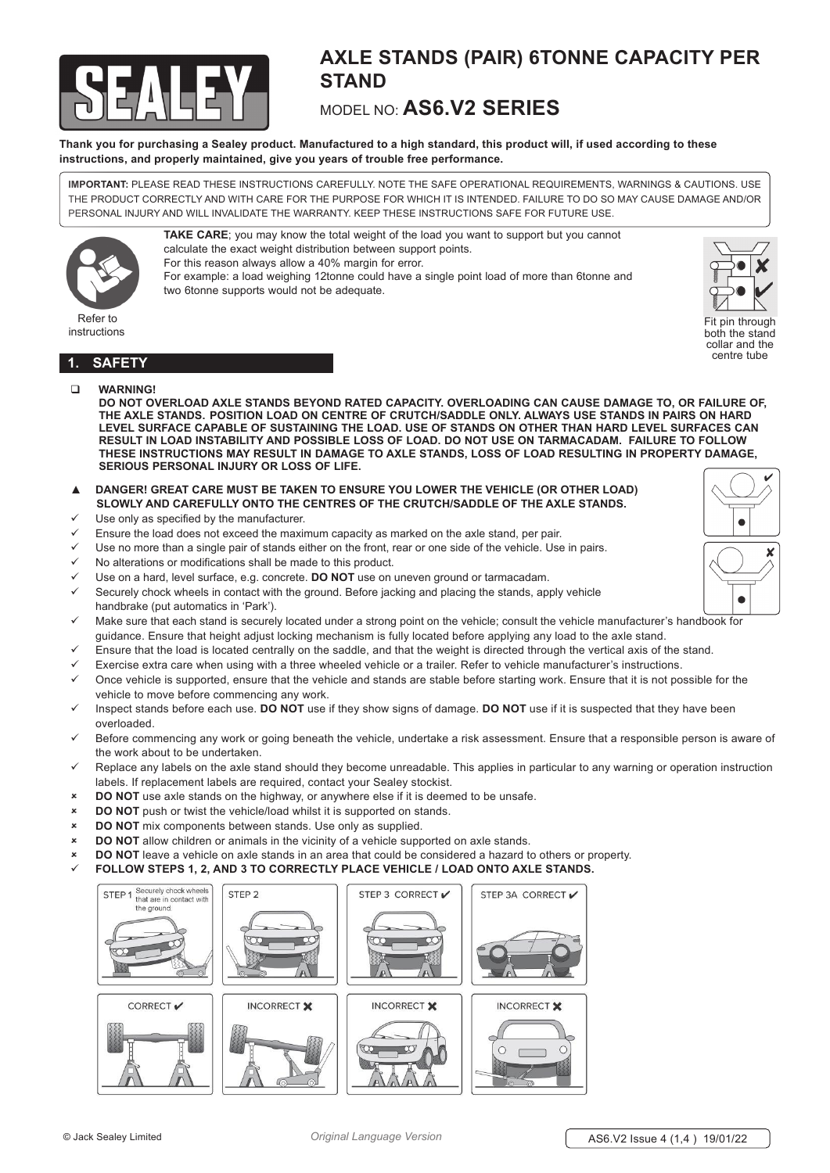

# **AXLE STANDS (PAIR) 6TONNE CAPACITY PER STAND**

# MODEL NO: **AS6.V2 SERIES**

**Thank you for purchasing a Sealey product. Manufactured to a high standard, this product will, if used according to these instructions, and properly maintained, give you years of trouble free performance.**

**TAKE CARE**; you may know the total weight of the load you want to support but you cannot

For example: a load weighing 12tonne could have a single point load of more than 6tonne and

**IMPORTANT:** PLEASE READ THESE INSTRUCTIONS CAREFULLY. NOTE THE SAFE OPERATIONAL REQUIREMENTS, WARNINGS & CAUTIONS. USE THE PRODUCT CORRECTLY AND WITH CARE FOR THE PURPOSE FOR WHICH IT IS INTENDED. FAILURE TO DO SO MAY CAUSE DAMAGE AND/OR PERSONAL INJURY AND WILL INVALIDATE THE WARRANTY. KEEP THESE INSTRUCTIONS SAFE FOR FUTURE USE.



instructions



Fit pin through both the stand collar and the centre tube

# **1. SAFETY**

**WARNING!**

**DO NOT OVERLOAD AXLE STANDS BEYOND RATED CAPACITY. OVERLOADING CAN CAUSE DAMAGE TO, OR FAILURE OF, THE AXLE STANDS. POSITION LOAD ON CENTRE OF CRUTCH/SADDLE ONLY. ALWAYS USE STANDS IN PAIRS ON HARD LEVEL SURFACE CAPABLE OF SUSTAINING THE LOAD. USE OF STANDS ON OTHER THAN HARD LEVEL SURFACES CAN RESULT IN LOAD INSTABILITY AND POSSIBLE LOSS OF LOAD. DO NOT USE ON TARMACADAM. FAILURE TO FOLLOW THESE INSTRUCTIONS MAY RESULT IN DAMAGE TO AXLE STANDS, LOSS OF LOAD RESULTING IN PROPERTY DAMAGE, SERIOUS PERSONAL INJURY OR LOSS OF LIFE.**

- ▲ **DANGER! GREAT CARE MUST BE TAKEN TO ENSURE YOU LOWER THE VEHICLE (OR OTHER LOAD) SLOWLY AND CAREFULLY ONTO THE CENTRES OF THE CRUTCH/SADDLE OF THE AXLE STANDS.**
- Use only as specified by the manufacturer.
- Ensure the load does not exceed the maximum capacity as marked on the axle stand, per pair.

calculate the exact weight distribution between support points. For this reason always allow a 40% margin for error.

two 6tonne supports would not be adequate.

- Use no more than a single pair of stands either on the front, rear or one side of the vehicle. Use in pairs.
- No alterations or modifications shall be made to this product.
- 9 Use on a hard, level surface, e.g. concrete. **DO NOT** use on uneven ground or tarmacadam.
- Securely chock wheels in contact with the ground. Before jacking and placing the stands, apply vehicle handbrake (put automatics in 'Park').
- Make sure that each stand is securely located under a strong point on the vehicle; consult the vehicle manufacturer's handbook for guidance. Ensure that height adjust locking mechanism is fully located before applying any load to the axle stand.
- Ensure that the load is located centrally on the saddle, and that the weight is directed through the vertical axis of the stand.
- Exercise extra care when using with a three wheeled vehicle or a trailer. Refer to vehicle manufacturer's instructions.
- 9 Once vehicle is supported, ensure that the vehicle and stands are stable before starting work. Ensure that it is not possible for the vehicle to move before commencing any work.
- 9 Inspect stands before each use. **DO NOT** use if they show signs of damage. **DO NOT** use if it is suspected that they have been overloaded.
- $\checkmark$  Before commencing any work or going beneath the vehicle, undertake a risk assessment. Ensure that a responsible person is aware of the work about to be undertaken.
- $\checkmark$  Replace any labels on the axle stand should they become unreadable. This applies in particular to any warning or operation instruction labels. If replacement labels are required, contact your Sealey stockist.
- 8 **DO NOT** use axle stands on the highway, or anywhere else if it is deemed to be unsafe.
- 8 **DO NOT** push or twist the vehicle/load whilst it is supported on stands.
- 8 **DO NOT** mix components between stands. Use only as supplied.
- **DO NOT** allow children or animals in the vicinity of a vehicle supported on axle stands.
- **DO NOT** leave a vehicle on axle stands in an area that could be considered a hazard to others or property.